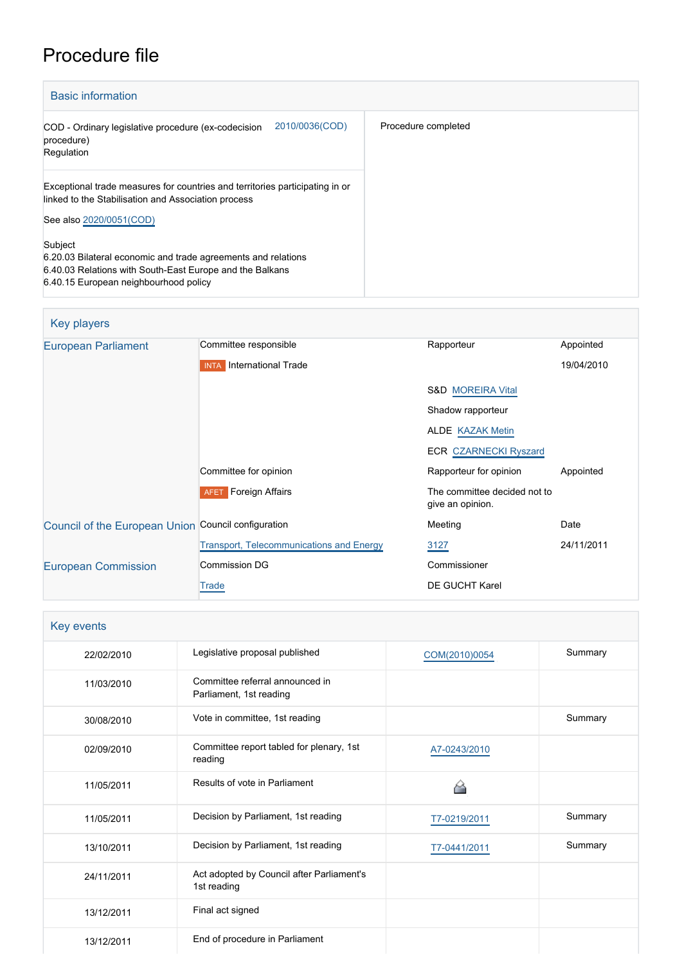# Procedure file

| <b>Basic information</b>                                                                                                                                           |                     |
|--------------------------------------------------------------------------------------------------------------------------------------------------------------------|---------------------|
| 2010/0036(COD)<br>COD - Ordinary legislative procedure (ex-codecision<br>procedure)<br>Regulation                                                                  | Procedure completed |
| Exceptional trade measures for countries and territories participating in or<br>linked to the Stabilisation and Association process                                |                     |
| See also 2020/0051(COD)                                                                                                                                            |                     |
| Subject                                                                                                                                                            |                     |
| 6.20.03 Bilateral economic and trade agreements and relations<br>6.40.03 Relations with South-East Europe and the Balkans<br>6.40.15 European neighbourhood policy |                     |

| Key players                                         |                                                 |                                                  |            |
|-----------------------------------------------------|-------------------------------------------------|--------------------------------------------------|------------|
| <b>European Parliament</b>                          | Committee responsible                           | Rapporteur                                       | Appointed  |
|                                                     | <b>INTA</b> International Trade                 |                                                  | 19/04/2010 |
|                                                     |                                                 | <b>S&amp;D MOREIRA Vital</b>                     |            |
|                                                     |                                                 | Shadow rapporteur                                |            |
|                                                     |                                                 | <b>ALDE KAZAK Metin</b>                          |            |
|                                                     |                                                 | <b>ECR CZARNECKI Ryszard</b>                     |            |
|                                                     | Committee for opinion                           | Rapporteur for opinion                           | Appointed  |
|                                                     | <b>AFET</b> Foreign Affairs                     | The committee decided not to<br>give an opinion. |            |
| Council of the European Union Council configuration |                                                 | Meeting                                          | Date       |
|                                                     | <b>Transport, Telecommunications and Energy</b> | 3127                                             | 24/11/2011 |
| <b>European Commission</b>                          | Commission DG                                   | Commissioner                                     |            |
|                                                     | Trade                                           | DE GUCHT Karel                                   |            |

| Key events |                                                            |               |         |
|------------|------------------------------------------------------------|---------------|---------|
| 22/02/2010 | Legislative proposal published                             | COM(2010)0054 | Summary |
| 11/03/2010 | Committee referral announced in<br>Parliament, 1st reading |               |         |
| 30/08/2010 | Vote in committee, 1st reading                             |               | Summary |
| 02/09/2010 | Committee report tabled for plenary, 1st<br>reading        | A7-0243/2010  |         |
| 11/05/2011 | Results of vote in Parliament                              |               |         |
| 11/05/2011 | Decision by Parliament, 1st reading                        | T7-0219/2011  | Summary |
| 13/10/2011 | Decision by Parliament, 1st reading                        | T7-0441/2011  | Summary |
| 24/11/2011 | Act adopted by Council after Parliament's<br>1st reading   |               |         |
| 13/12/2011 | Final act signed                                           |               |         |
| 13/12/2011 | End of procedure in Parliament                             |               |         |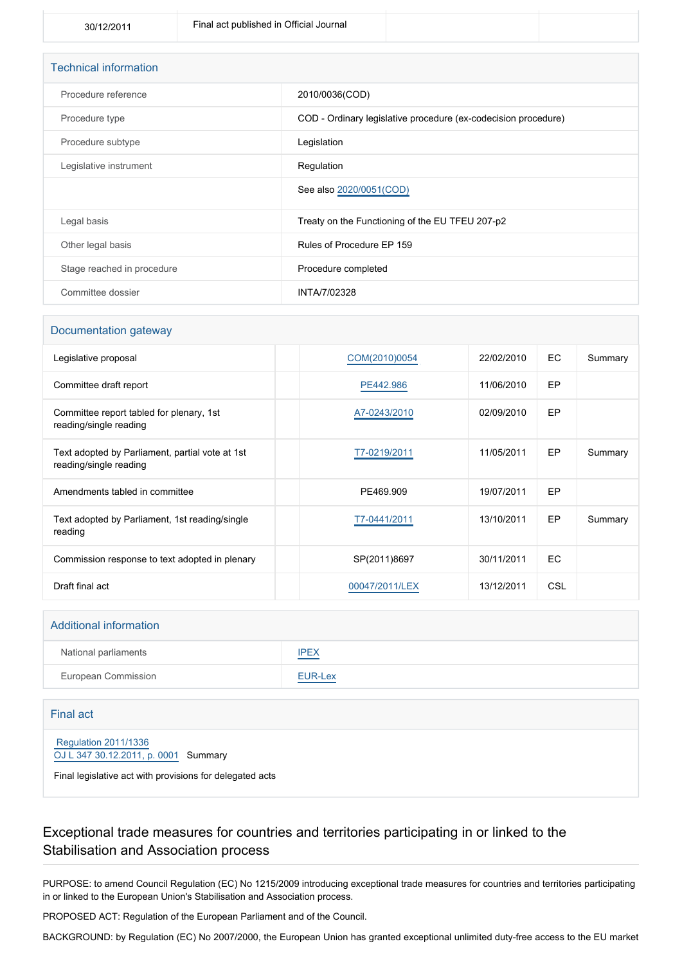| <b>Technical information</b> |                                                                |
|------------------------------|----------------------------------------------------------------|
| Procedure reference          | 2010/0036(COD)                                                 |
| Procedure type               | COD - Ordinary legislative procedure (ex-codecision procedure) |
| Procedure subtype            | Legislation                                                    |
| Legislative instrument       | Regulation                                                     |
|                              | See also 2020/0051(COD)                                        |
| Legal basis                  | Treaty on the Functioning of the EU TFEU 207-p2                |
| Other legal basis            | Rules of Procedure EP 159                                      |
| Stage reached in procedure   | Procedure completed                                            |
| Committee dossier            | INTA/7/02328                                                   |

#### Documentation gateway

| Legislative proposal                                                      | COM(2010)0054  | 22/02/2010 | EC.        | Summary |
|---------------------------------------------------------------------------|----------------|------------|------------|---------|
| Committee draft report                                                    | PE442.986      | 11/06/2010 | EP         |         |
| Committee report tabled for plenary, 1st<br>reading/single reading        | A7-0243/2010   | 02/09/2010 | EP         |         |
| Text adopted by Parliament, partial vote at 1st<br>reading/single reading | T7-0219/2011   | 11/05/2011 | EP         | Summary |
| Amendments tabled in committee                                            | PE469.909      | 19/07/2011 | EP         |         |
| Text adopted by Parliament, 1st reading/single<br>reading                 | T7-0441/2011   | 13/10/2011 | EP         | Summary |
| Commission response to text adopted in plenary                            | SP(2011)8697   | 30/11/2011 | <b>EC</b>  |         |
| Draft final act                                                           | 00047/2011/LEX | 13/12/2011 | <b>CSL</b> |         |

#### Additional information

| National parliaments | <b>IPEX</b> |
|----------------------|-------------|
| European Commission  | EUR-Lex     |

#### Final act

 [Regulation 2011/1336](https://eur-lex.europa.eu/smartapi/cgi/sga_doc?smartapi!celexplus!prod!CELEXnumdoc&lg=EN&numdoc=32011R1336) [OJ L 347 30.12.2011, p. 0001](https://eur-lex.europa.eu/legal-content/EN/TXT/?uri=OJ:L:2011:347:TOC) Summary

Final legislative act with provisions for delegated acts

## Exceptional trade measures for countries and territories participating in or linked to the Stabilisation and Association process

PURPOSE: to amend Council Regulation (EC) No 1215/2009 introducing exceptional trade measures for countries and territories participating in or linked to the European Union's Stabilisation and Association process.

PROPOSED ACT: Regulation of the European Parliament and of the Council.

BACKGROUND: by Regulation (EC) No 2007/2000, the European Union has granted exceptional unlimited duty-free access to the EU market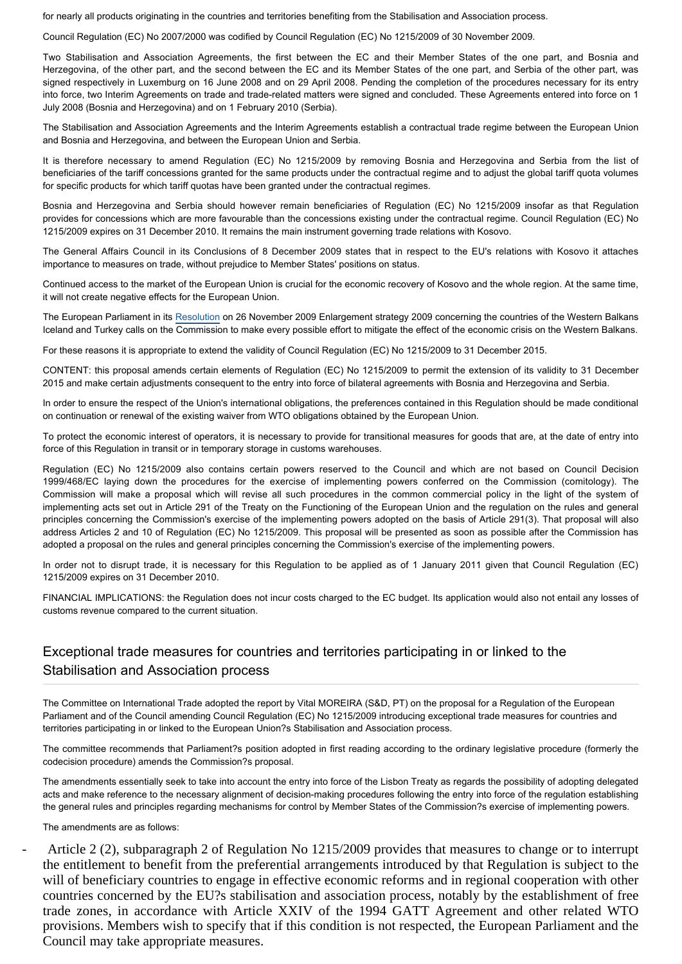for nearly all products originating in the countries and territories benefiting from the Stabilisation and Association process.

Council Regulation (EC) No 2007/2000 was codified by Council Regulation (EC) No 1215/2009 of 30 November 2009.

Two Stabilisation and Association Agreements, the first between the EC and their Member States of the one part, and Bosnia and Herzegovina, of the other part, and the second between the EC and its Member States of the one part, and Serbia of the other part, was signed respectively in Luxemburg on 16 June 2008 and on 29 April 2008. Pending the completion of the procedures necessary for its entry into force, two Interim Agreements on trade and trade-related matters were signed and concluded. These Agreements entered into force on 1 July 2008 (Bosnia and Herzegovina) and on 1 February 2010 (Serbia).

The Stabilisation and Association Agreements and the Interim Agreements establish a contractual trade regime between the European Union and Bosnia and Herzegovina, and between the European Union and Serbia.

It is therefore necessary to amend Regulation (EC) No 1215/2009 by removing Bosnia and Herzegovina and Serbia from the list of beneficiaries of the tariff concessions granted for the same products under the contractual regime and to adjust the global tariff quota volumes for specific products for which tariff quotas have been granted under the contractual regimes.

Bosnia and Herzegovina and Serbia should however remain beneficiaries of Regulation (EC) No 1215/2009 insofar as that Regulation provides for concessions which are more favourable than the concessions existing under the contractual regime. Council Regulation (EC) No 1215/2009 expires on 31 December 2010. It remains the main instrument governing trade relations with Kosovo.

The General Affairs Council in its Conclusions of 8 December 2009 states that in respect to the EU's relations with Kosovo it attaches importance to measures on trade, without prejudice to Member States' positions on status.

Continued access to the market of the European Union is crucial for the economic recovery of Kosovo and the whole region. At the same time, it will not create negative effects for the European Union.

The European Parliament in its [Resolution](http://www.europarl.europa.eu/oeil/FindByProcnum.do?lang=en&procnum=RSP/2009/2675) on 26 November 2009 Enlargement strategy 2009 concerning the countries of the Western Balkans Iceland and Turkey calls on the Commission to make every possible effort to mitigate the effect of the economic crisis on the Western Balkans.

For these reasons it is appropriate to extend the validity of Council Regulation (EC) No 1215/2009 to 31 December 2015.

CONTENT: this proposal amends certain elements of Regulation (EC) No 1215/2009 to permit the extension of its validity to 31 December 2015 and make certain adjustments consequent to the entry into force of bilateral agreements with Bosnia and Herzegovina and Serbia.

In order to ensure the respect of the Union's international obligations, the preferences contained in this Regulation should be made conditional on continuation or renewal of the existing waiver from WTO obligations obtained by the European Union.

To protect the economic interest of operators, it is necessary to provide for transitional measures for goods that are, at the date of entry into force of this Regulation in transit or in temporary storage in customs warehouses.

Regulation (EC) No 1215/2009 also contains certain powers reserved to the Council and which are not based on Council Decision 1999/468/EC laying down the procedures for the exercise of implementing powers conferred on the Commission (comitology). The Commission will make a proposal which will revise all such procedures in the common commercial policy in the light of the system of implementing acts set out in Article 291 of the Treaty on the Functioning of the European Union and the regulation on the rules and general principles concerning the Commission's exercise of the implementing powers adopted on the basis of Article 291(3). That proposal will also address Articles 2 and 10 of Regulation (EC) No 1215/2009. This proposal will be presented as soon as possible after the Commission has adopted a proposal on the rules and general principles concerning the Commission's exercise of the implementing powers.

In order not to disrupt trade, it is necessary for this Regulation to be applied as of 1 January 2011 given that Council Regulation (EC) 1215/2009 expires on 31 December 2010.

FINANCIAL IMPLICATIONS: the Regulation does not incur costs charged to the EC budget. Its application would also not entail any losses of customs revenue compared to the current situation.

#### Exceptional trade measures for countries and territories participating in or linked to the Stabilisation and Association process

The Committee on International Trade adopted the report by Vital MOREIRA (S&D, PT) on the proposal for a Regulation of the European Parliament and of the Council amending Council Regulation (EC) No 1215/2009 introducing exceptional trade measures for countries and territories participating in or linked to the European Union?s Stabilisation and Association process.

The committee recommends that Parliament?s position adopted in first reading according to the ordinary legislative procedure (formerly the codecision procedure) amends the Commission?s proposal.

The amendments essentially seek to take into account the entry into force of the Lisbon Treaty as regards the possibility of adopting delegated acts and make reference to the necessary alignment of decision-making procedures following the entry into force of the regulation establishing the general rules and principles regarding mechanisms for control by Member States of the Commission?s exercise of implementing powers.

The amendments are as follows:

- Article 2 (2), subparagraph 2 of Regulation No 1215/2009 provides that measures to change or to interrupt the entitlement to benefit from the preferential arrangements introduced by that Regulation is subject to the will of beneficiary countries to engage in effective economic reforms and in regional cooperation with other countries concerned by the EU?s stabilisation and association process, notably by the establishment of free trade zones, in accordance with Article XXIV of the 1994 GATT Agreement and other related WTO provisions. Members wish to specify that if this condition is not respected, the European Parliament and the Council may take appropriate measures.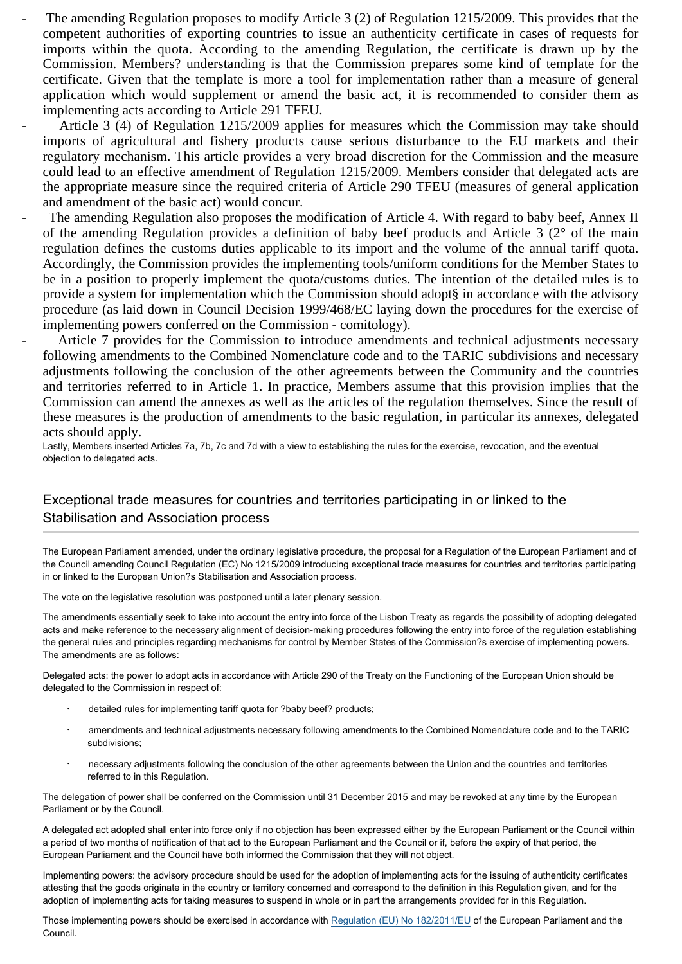The amending Regulation proposes to modify Article 3 (2) of Regulation 1215/2009. This provides that the competent authorities of exporting countries to issue an authenticity certificate in cases of requests for imports within the quota. According to the amending Regulation, the certificate is drawn up by the Commission. Members? understanding is that the Commission prepares some kind of template for the certificate. Given that the template is more a tool for implementation rather than a measure of general application which would supplement or amend the basic act, it is recommended to consider them as implementing acts according to Article 291 TFEU.

Article 3 (4) of Regulation 1215/2009 applies for measures which the Commission may take should imports of agricultural and fishery products cause serious disturbance to the EU markets and their regulatory mechanism. This article provides a very broad discretion for the Commission and the measure could lead to an effective amendment of Regulation 1215/2009. Members consider that delegated acts are the appropriate measure since the required criteria of Article 290 TFEU (measures of general application and amendment of the basic act) would concur.

The amending Regulation also proposes the modification of Article 4. With regard to baby beef, Annex II of the amending Regulation provides a definition of baby beef products and Article 3 (2° of the main regulation defines the customs duties applicable to its import and the volume of the annual tariff quota. Accordingly, the Commission provides the implementing tools/uniform conditions for the Member States to be in a position to properly implement the quota/customs duties. The intention of the detailed rules is to provide a system for implementation which the Commission should adopt§ in accordance with the advisory procedure (as laid down in Council Decision 1999/468/EC laying down the procedures for the exercise of implementing powers conferred on the Commission - comitology).

Article 7 provides for the Commission to introduce amendments and technical adjustments necessary following amendments to the Combined Nomenclature code and to the TARIC subdivisions and necessary adjustments following the conclusion of the other agreements between the Community and the countries and territories referred to in Article 1. In practice, Members assume that this provision implies that the Commission can amend the annexes as well as the articles of the regulation themselves. Since the result of these measures is the production of amendments to the basic regulation, in particular its annexes, delegated acts should apply.

Lastly, Members inserted Articles 7a, 7b, 7c and 7d with a view to establishing the rules for the exercise, revocation, and the eventual objection to delegated acts.

## Exceptional trade measures for countries and territories participating in or linked to the Stabilisation and Association process

The European Parliament amended, under the ordinary legislative procedure, the proposal for a Regulation of the European Parliament and of the Council amending Council Regulation (EC) No 1215/2009 introducing exceptional trade measures for countries and territories participating in or linked to the European Union?s Stabilisation and Association process.

The vote on the legislative resolution was postponed until a later plenary session.

The amendments essentially seek to take into account the entry into force of the Lisbon Treaty as regards the possibility of adopting delegated acts and make reference to the necessary alignment of decision-making procedures following the entry into force of the regulation establishing the general rules and principles regarding mechanisms for control by Member States of the Commission?s exercise of implementing powers. The amendments are as follows:

Delegated acts: the power to adopt acts in accordance with Article 290 of the Treaty on the Functioning of the European Union should be delegated to the Commission in respect of:

- detailed rules for implementing tariff quota for ?baby beef? products;
- amendments and technical adjustments necessary following amendments to the Combined Nomenclature code and to the TARIC subdivisions;
- · necessary adjustments following the conclusion of the other agreements between the Union and the countries and territories referred to in this Regulation.

The delegation of power shall be conferred on the Commission until 31 December 2015 and may be revoked at any time by the European Parliament or by the Council.

A delegated act adopted shall enter into force only if no objection has been expressed either by the European Parliament or the Council within a period of two months of notification of that act to the European Parliament and the Council or if, before the expiry of that period, the European Parliament and the Council have both informed the Commission that they will not object.

Implementing powers: the advisory procedure should be used for the adoption of implementing acts for the issuing of authenticity certificates attesting that the goods originate in the country or territory concerned and correspond to the definition in this Regulation given, and for the adoption of implementing acts for taking measures to suspend in whole or in part the arrangements provided for in this Regulation.

Those implementing powers should be exercised in accordance with [Regulation \(EU\) No 182/2011/EU](http://www.europarl.europa.eu/oeil/FindByProcnum.do?lang=en&procnum=COD/2010/0051) of the European Parliament and the Council.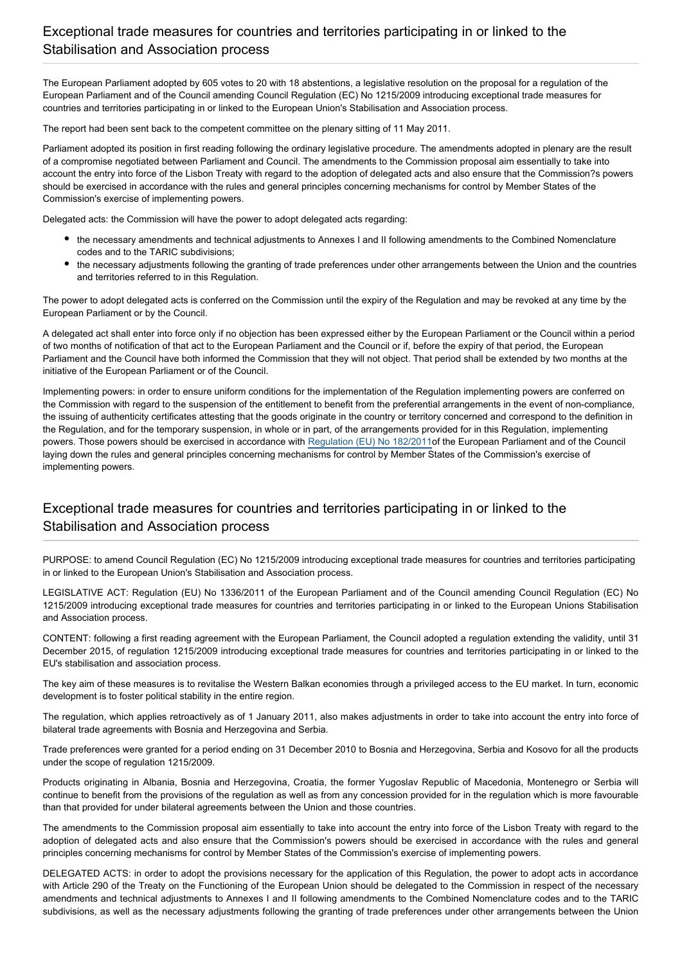### Exceptional trade measures for countries and territories participating in or linked to the Stabilisation and Association process

The European Parliament adopted by 605 votes to 20 with 18 abstentions, a legislative resolution on the proposal for a regulation of the European Parliament and of the Council amending Council Regulation (EC) No 1215/2009 introducing exceptional trade measures for countries and territories participating in or linked to the European Union's Stabilisation and Association process.

The report had been sent back to the competent committee on the plenary sitting of 11 May 2011.

Parliament adopted its position in first reading following the ordinary legislative procedure. The amendments adopted in plenary are the result of a compromise negotiated between Parliament and Council. The amendments to the Commission proposal aim essentially to take into account the entry into force of the Lisbon Treaty with regard to the adoption of delegated acts and also ensure that the Commission?s powers should be exercised in accordance with the rules and general principles concerning mechanisms for control by Member States of the Commission's exercise of implementing powers.

Delegated acts: the Commission will have the power to adopt delegated acts regarding:

- the necessary amendments and technical adjustments to Annexes I and II following amendments to the Combined Nomenclature codes and to the TARIC subdivisions;
- the necessary adjustments following the granting of trade preferences under other arrangements between the Union and the countries and territories referred to in this Regulation.

The power to adopt delegated acts is conferred on the Commission until the expiry of the Regulation and may be revoked at any time by the European Parliament or by the Council.

A delegated act shall enter into force only if no objection has been expressed either by the European Parliament or the Council within a period of two months of notification of that act to the European Parliament and the Council or if, before the expiry of that period, the European Parliament and the Council have both informed the Commission that they will not object. That period shall be extended by two months at the initiative of the European Parliament or of the Council.

Implementing powers: in order to ensure uniform conditions for the implementation of the Regulation implementing powers are conferred on the Commission with regard to the suspension of the entitlement to benefit from the preferential arrangements in the event of non-compliance, the issuing of authenticity certificates attesting that the goods originate in the country or territory concerned and correspond to the definition in the Regulation, and for the temporary suspension, in whole or in part, of the arrangements provided for in this Regulation, implementing powers. Those powers should be exercised in accordance with [Regulation \(EU\) No 182/2011](http://www.europarl.europa.eu/oeil/FindByProcnum.do?lang=en&procnum=COD/2010/0051)of the European Parliament and of the Council laying down the rules and general principles concerning mechanisms for control by Member States of the Commission's exercise of implementing powers.

## Exceptional trade measures for countries and territories participating in or linked to the Stabilisation and Association process

PURPOSE: to amend Council Regulation (EC) No 1215/2009 introducing exceptional trade measures for countries and territories participating in or linked to the European Union's Stabilisation and Association process.

LEGISLATIVE ACT: Regulation (EU) No 1336/2011 of the European Parliament and of the Council amending Council Regulation (EC) No 1215/2009 introducing exceptional trade measures for countries and territories participating in or linked to the European Unions Stabilisation and Association process.

CONTENT: following a first reading agreement with the European Parliament, the Council adopted a regulation extending the validity, until 31 December 2015, of regulation 1215/2009 introducing exceptional trade measures for countries and territories participating in or linked to the EU's stabilisation and association process.

The key aim of these measures is to revitalise the Western Balkan economies through a privileged access to the EU market. In turn, economic development is to foster political stability in the entire region.

The regulation, which applies retroactively as of 1 January 2011, also makes adjustments in order to take into account the entry into force of bilateral trade agreements with Bosnia and Herzegovina and Serbia.

Trade preferences were granted for a period ending on 31 December 2010 to Bosnia and Herzegovina, Serbia and Kosovo for all the products under the scope of regulation 1215/2009.

Products originating in Albania, Bosnia and Herzegovina, Croatia, the former Yugoslav Republic of Macedonia, Montenegro or Serbia will continue to benefit from the provisions of the regulation as well as from any concession provided for in the regulation which is more favourable than that provided for under bilateral agreements between the Union and those countries.

The amendments to the Commission proposal aim essentially to take into account the entry into force of the Lisbon Treaty with regard to the adoption of delegated acts and also ensure that the Commission's powers should be exercised in accordance with the rules and general principles concerning mechanisms for control by Member States of the Commission's exercise of implementing powers.

DELEGATED ACTS: in order to adopt the provisions necessary for the application of this Regulation, the power to adopt acts in accordance with Article 290 of the Treaty on the Functioning of the European Union should be delegated to the Commission in respect of the necessary amendments and technical adjustments to Annexes I and II following amendments to the Combined Nomenclature codes and to the TARIC subdivisions, as well as the necessary adjustments following the granting of trade preferences under other arrangements between the Union